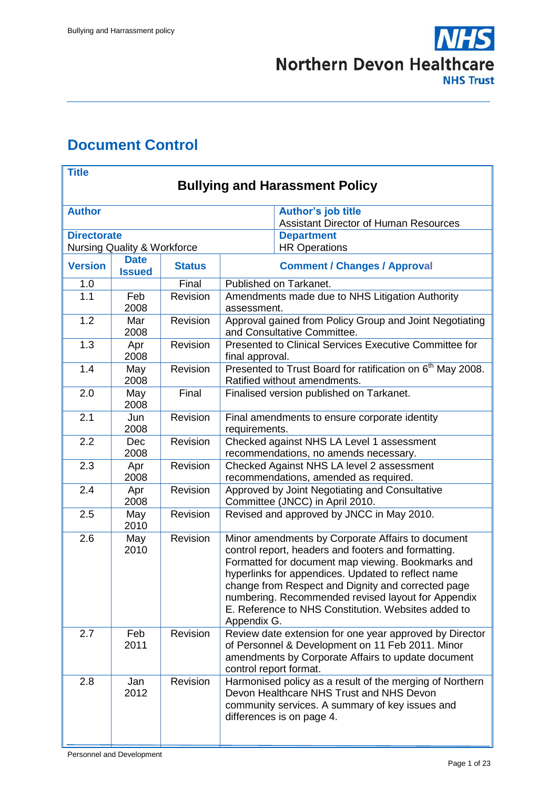

# <span id="page-0-0"></span>**Document Control**

| <b>Title</b>                          |                                        |               |                                                                                                                                                                                                                                                                                                                                                                                                       |  |  |
|---------------------------------------|----------------------------------------|---------------|-------------------------------------------------------------------------------------------------------------------------------------------------------------------------------------------------------------------------------------------------------------------------------------------------------------------------------------------------------------------------------------------------------|--|--|
| <b>Bullying and Harassment Policy</b> |                                        |               |                                                                                                                                                                                                                                                                                                                                                                                                       |  |  |
| <b>Author</b>                         |                                        |               | <b>Author's job title</b><br><b>Assistant Director of Human Resources</b>                                                                                                                                                                                                                                                                                                                             |  |  |
| <b>Directorate</b>                    | <b>Nursing Quality &amp; Workforce</b> |               | <b>Department</b><br><b>HR Operations</b>                                                                                                                                                                                                                                                                                                                                                             |  |  |
| <b>Version</b>                        | <b>Date</b><br><b>Issued</b>           | <b>Status</b> | <b>Comment / Changes / Approval</b>                                                                                                                                                                                                                                                                                                                                                                   |  |  |
| 1.0                                   |                                        | Final         | Published on Tarkanet.                                                                                                                                                                                                                                                                                                                                                                                |  |  |
| 1.1                                   | Feb<br>2008                            | Revision      | Amendments made due to NHS Litigation Authority<br>assessment.                                                                                                                                                                                                                                                                                                                                        |  |  |
| 1.2                                   | Mar<br>2008                            | Revision      | Approval gained from Policy Group and Joint Negotiating<br>and Consultative Committee.                                                                                                                                                                                                                                                                                                                |  |  |
| 1.3                                   | Apr<br>2008                            | Revision      | Presented to Clinical Services Executive Committee for<br>final approval.                                                                                                                                                                                                                                                                                                                             |  |  |
| 1.4                                   | May<br>2008                            | Revision      | Presented to Trust Board for ratification on 6 <sup>th</sup> May 2008.<br>Ratified without amendments.                                                                                                                                                                                                                                                                                                |  |  |
| 2.0                                   | May<br>2008                            | Final         | Finalised version published on Tarkanet.                                                                                                                                                                                                                                                                                                                                                              |  |  |
| 2.1                                   | Jun<br>2008                            | Revision      | Final amendments to ensure corporate identity<br>requirements.                                                                                                                                                                                                                                                                                                                                        |  |  |
| 2.2                                   | <b>Dec</b><br>2008                     | Revision      | Checked against NHS LA Level 1 assessment<br>recommendations, no amends necessary.                                                                                                                                                                                                                                                                                                                    |  |  |
| 2.3                                   | Apr<br>2008                            | Revision      | Checked Against NHS LA level 2 assessment<br>recommendations, amended as required.                                                                                                                                                                                                                                                                                                                    |  |  |
| 2.4                                   | Apr<br>2008                            | Revision      | Approved by Joint Negotiating and Consultative<br>Committee (JNCC) in April 2010.                                                                                                                                                                                                                                                                                                                     |  |  |
| 2.5                                   | May<br>2010                            | Revision      | Revised and approved by JNCC in May 2010.                                                                                                                                                                                                                                                                                                                                                             |  |  |
| 2.6                                   | May<br>2010                            | Revision      | Minor amendments by Corporate Affairs to document<br>control report, headers and footers and formatting.<br>Formatted for document map viewing. Bookmarks and<br>hyperlinks for appendices. Updated to reflect name<br>change from Respect and Dignity and corrected page<br>numbering. Recommended revised layout for Appendix<br>E. Reference to NHS Constitution. Websites added to<br>Appendix G. |  |  |
| 2.7                                   | Feb<br>2011                            | Revision      | Review date extension for one year approved by Director<br>of Personnel & Development on 11 Feb 2011. Minor<br>amendments by Corporate Affairs to update document<br>control report format.                                                                                                                                                                                                           |  |  |
| 2.8                                   | Jan<br>2012                            | Revision      | Harmonised policy as a result of the merging of Northern<br>Devon Healthcare NHS Trust and NHS Devon<br>community services. A summary of key issues and<br>differences is on page 4.                                                                                                                                                                                                                  |  |  |

Personnel and Development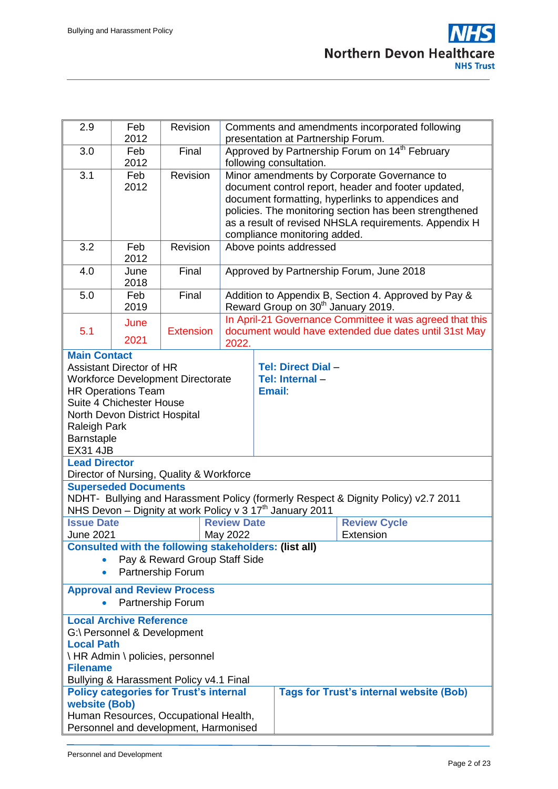| 2.9                                                                                                                                                                                                                                                                                         | Feb<br>2012                                                                             | Revision                                                                    | Comments and amendments incorporated following<br>presentation at Partnership Forum.  |                                                                                                                                                                                                                                                                                                            |  |  |  |
|---------------------------------------------------------------------------------------------------------------------------------------------------------------------------------------------------------------------------------------------------------------------------------------------|-----------------------------------------------------------------------------------------|-----------------------------------------------------------------------------|---------------------------------------------------------------------------------------|------------------------------------------------------------------------------------------------------------------------------------------------------------------------------------------------------------------------------------------------------------------------------------------------------------|--|--|--|
| 3.0                                                                                                                                                                                                                                                                                         | Feb<br>2012                                                                             | Final                                                                       | Approved by Partnership Forum on 14 <sup>th</sup> February<br>following consultation. |                                                                                                                                                                                                                                                                                                            |  |  |  |
| 3.1                                                                                                                                                                                                                                                                                         | Feb<br>2012                                                                             | Revision                                                                    |                                                                                       | Minor amendments by Corporate Governance to<br>document control report, header and footer updated,<br>document formatting, hyperlinks to appendices and<br>policies. The monitoring section has been strengthened<br>as a result of revised NHSLA requirements. Appendix H<br>compliance monitoring added. |  |  |  |
| 3.2                                                                                                                                                                                                                                                                                         | Feb<br>2012                                                                             | Revision                                                                    |                                                                                       | Above points addressed                                                                                                                                                                                                                                                                                     |  |  |  |
| 4.0                                                                                                                                                                                                                                                                                         | June<br>2018                                                                            | Final                                                                       |                                                                                       | Approved by Partnership Forum, June 2018                                                                                                                                                                                                                                                                   |  |  |  |
| 5.0                                                                                                                                                                                                                                                                                         | Feb<br>2019                                                                             | Final                                                                       |                                                                                       | Addition to Appendix B, Section 4. Approved by Pay &<br>Reward Group on 30 <sup>th</sup> January 2019.                                                                                                                                                                                                     |  |  |  |
| 5.1                                                                                                                                                                                                                                                                                         | June<br>2021                                                                            | <b>Extension</b>                                                            | 2022.                                                                                 | In April-21 Governance Committee it was agreed that this<br>document would have extended due dates until 31st May                                                                                                                                                                                          |  |  |  |
| <b>Main Contact</b><br><b>Assistant Director of HR</b><br><b>Tel: Direct Dial -</b><br><b>Workforce Development Directorate</b><br>Tel: Internal -<br><b>HR Operations Team</b><br><b>Email:</b><br>Suite 4 Chichester House<br>North Devon District Hospital<br>Raleigh Park<br>Barnstaple |                                                                                         |                                                                             |                                                                                       |                                                                                                                                                                                                                                                                                                            |  |  |  |
| <b>EX31 4JB</b><br><b>Lead Director</b><br>Director of Nursing, Quality & Workforce                                                                                                                                                                                                         |                                                                                         |                                                                             |                                                                                       |                                                                                                                                                                                                                                                                                                            |  |  |  |
| <b>Superseded Documents</b><br>NDHT- Bullying and Harassment Policy (formerly Respect & Dignity Policy) v2.7 2011<br>NHS Devon - Dignity at work Policy v 3 17 <sup>th</sup> January 2011                                                                                                   |                                                                                         |                                                                             |                                                                                       |                                                                                                                                                                                                                                                                                                            |  |  |  |
| <b>June 2021</b>                                                                                                                                                                                                                                                                            | <b>Issue Date</b><br><b>Review Date</b><br><b>Review Cycle</b><br>May 2022<br>Extension |                                                                             |                                                                                       |                                                                                                                                                                                                                                                                                                            |  |  |  |
| <b>Consulted with the following stakeholders: (list all)</b><br>Pay & Reward Group Staff Side<br>Partnership Forum                                                                                                                                                                          |                                                                                         |                                                                             |                                                                                       |                                                                                                                                                                                                                                                                                                            |  |  |  |
| <b>Approval and Review Process</b><br>Partnership Forum                                                                                                                                                                                                                                     |                                                                                         |                                                                             |                                                                                       |                                                                                                                                                                                                                                                                                                            |  |  |  |
| <b>Local Path</b><br><b>Filename</b>                                                                                                                                                                                                                                                        | <b>Local Archive Reference</b><br>G:\ Personnel & Development                           | \ HR Admin \ policies, personnel<br>Bullying & Harassment Policy v4.1 Final |                                                                                       |                                                                                                                                                                                                                                                                                                            |  |  |  |
| <b>Tags for Trust's internal website (Bob)</b><br><b>Policy categories for Trust's internal</b><br>website (Bob)<br>Human Resources, Occupational Health,<br>Personnel and development, Harmonised                                                                                          |                                                                                         |                                                                             |                                                                                       |                                                                                                                                                                                                                                                                                                            |  |  |  |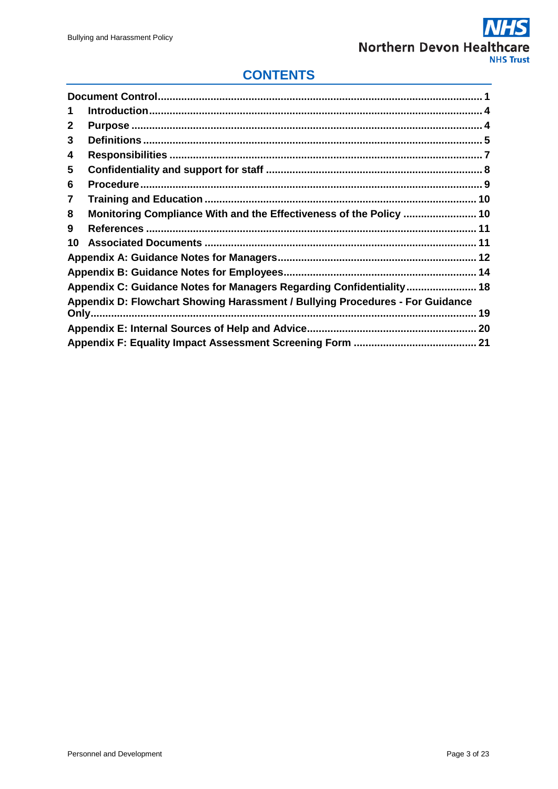## **CONTENTS**

| 1  |                                                                                     |
|----|-------------------------------------------------------------------------------------|
| 2  |                                                                                     |
| 3  |                                                                                     |
| 4  |                                                                                     |
| 5  |                                                                                     |
| 6  |                                                                                     |
| 7  |                                                                                     |
| 8  | Monitoring Compliance With and the Effectiveness of the Policy  10                  |
| 9  |                                                                                     |
| 10 |                                                                                     |
|    |                                                                                     |
|    |                                                                                     |
|    | Appendix C: Guidance Notes for Managers Regarding Confidentiality  18               |
|    | Appendix D: Flowchart Showing Harassment / Bullying Procedures - For Guidance<br>19 |
|    |                                                                                     |
|    |                                                                                     |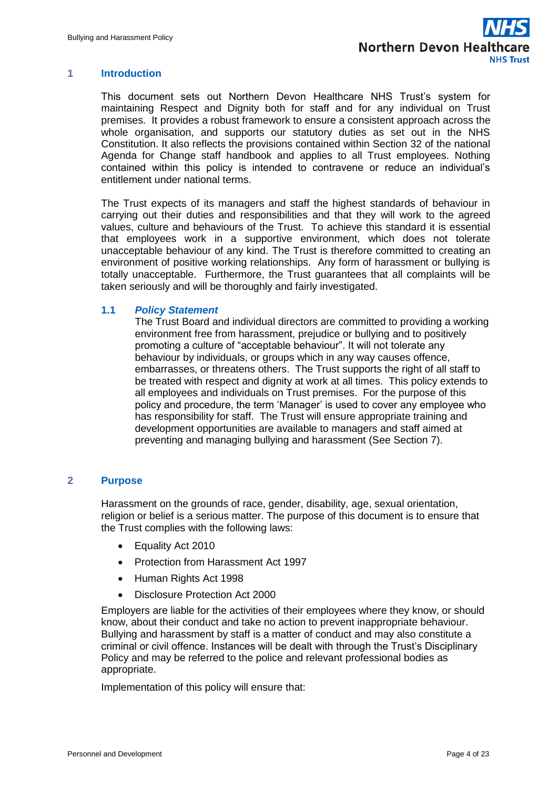#### <span id="page-3-0"></span>**1 Introduction**

This document sets out Northern Devon Healthcare NHS Trust's system for maintaining Respect and Dignity both for staff and for any individual on Trust premises. It provides a robust framework to ensure a consistent approach across the whole organisation, and supports our statutory duties as set out in the NHS Constitution. It also reflects the provisions contained within Section 32 of the national Agenda for Change staff handbook and applies to all Trust employees. Nothing contained within this policy is intended to contravene or reduce an individual's entitlement under national terms.

The Trust expects of its managers and staff the highest standards of behaviour in carrying out their duties and responsibilities and that they will work to the agreed values, culture and behaviours of the Trust. To achieve this standard it is essential that employees work in a supportive environment, which does not tolerate unacceptable behaviour of any kind. The Trust is therefore committed to creating an environment of positive working relationships. Any form of harassment or bullying is totally unacceptable. Furthermore, the Trust guarantees that all complaints will be taken seriously and will be thoroughly and fairly investigated.

#### **1.1** *Policy Statement*

The Trust Board and individual directors are committed to providing a working environment free from harassment, prejudice or bullying and to positively promoting a culture of "acceptable behaviour". It will not tolerate any behaviour by individuals, or groups which in any way causes offence, embarrasses, or threatens others. The Trust supports the right of all staff to be treated with respect and dignity at work at all times. This policy extends to all employees and individuals on Trust premises. For the purpose of this policy and procedure, the term 'Manager' is used to cover any employee who has responsibility for staff. The Trust will ensure appropriate training and development opportunities are available to managers and staff aimed at preventing and managing bullying and harassment (See Section 7).

#### <span id="page-3-1"></span>**2 Purpose**

Harassment on the grounds of race, gender, disability, age, sexual orientation, religion or belief is a serious matter. The purpose of this document is to ensure that the Trust complies with the following laws:

- Equality Act 2010
- Protection from Harassment Act 1997
- Human Rights Act 1998
- Disclosure Protection Act 2000

Employers are liable for the activities of their employees where they know, or should know, about their conduct and take no action to prevent inappropriate behaviour. Bullying and harassment by staff is a matter of conduct and may also constitute a criminal or civil offence. Instances will be dealt with through the Trust's Disciplinary Policy and may be referred to the police and relevant professional bodies as appropriate.

Implementation of this policy will ensure that: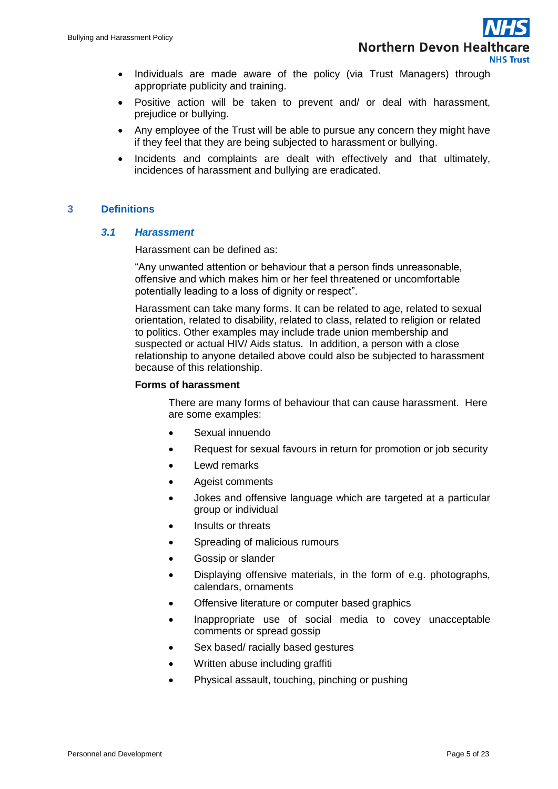- Individuals are made aware of the policy (via Trust Managers) through appropriate publicity and training.
- Positive action will be taken to prevent and/ or deal with harassment, prejudice or bullying.
- Any employee of the Trust will be able to pursue any concern they might have if they feel that they are being subjected to harassment or bullying.
- Incidents and complaints are dealt with effectively and that ultimately, incidences of harassment and bullying are eradicated.

## <span id="page-4-0"></span>**3 Definitions**

#### *3.1 Harassment*

Harassment can be defined as:

"Any unwanted attention or behaviour that a person finds unreasonable, offensive and which makes him or her feel threatened or uncomfortable potentially leading to a loss of dignity or respect".

Harassment can take many forms. It can be related to age, related to sexual orientation, related to disability, related to class, related to religion or related to politics. Other examples may include trade union membership and suspected or actual HIV/ Aids status. In addition, a person with a close relationship to anyone detailed above could also be subjected to harassment because of this relationship.

#### **Forms of harassment**

There are many forms of behaviour that can cause harassment. Here are some examples:

- Sexual innuendo
- Request for sexual favours in return for promotion or job security
- Lewd remarks
- Ageist comments
- Jokes and offensive language which are targeted at a particular group or individual
- Insults or threats
- Spreading of malicious rumours
- Gossip or slander
- Displaying offensive materials, in the form of e.g. photographs, calendars, ornaments
- Offensive literature or computer based graphics
- Inappropriate use of social media to covey unacceptable comments or spread gossip
- Sex based/ racially based gestures
- Written abuse including graffiti
- Physical assault, touching, pinching or pushing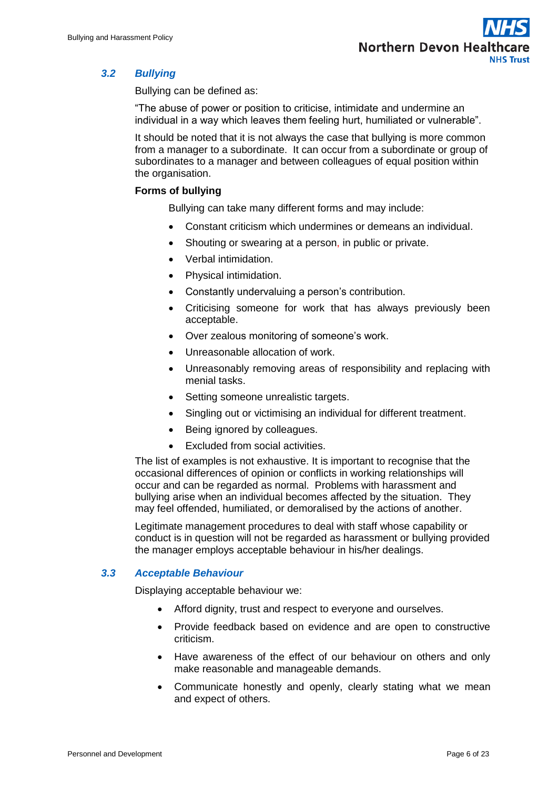## *3.2 Bullying*

Bullying can be defined as:

"The abuse of power or position to criticise, intimidate and undermine an individual in a way which leaves them feeling hurt, humiliated or vulnerable".

It should be noted that it is not always the case that bullying is more common from a manager to a subordinate. It can occur from a subordinate or group of subordinates to a manager and between colleagues of equal position within the organisation.

## **Forms of bullying**

Bullying can take many different forms and may include:

- Constant criticism which undermines or demeans an individual.
- Shouting or swearing at a person, in public or private.
- Verbal intimidation.
- Physical intimidation.
- Constantly undervaluing a person's contribution.
- Criticising someone for work that has always previously been acceptable.
- Over zealous monitoring of someone's work.
- Unreasonable allocation of work.
- Unreasonably removing areas of responsibility and replacing with menial tasks.
- Setting someone unrealistic targets.
- Singling out or victimising an individual for different treatment.
- Being ignored by colleagues.
- Excluded from social activities.

The list of examples is not exhaustive. It is important to recognise that the occasional differences of opinion or conflicts in working relationships will occur and can be regarded as normal. Problems with harassment and bullying arise when an individual becomes affected by the situation. They may feel offended, humiliated, or demoralised by the actions of another.

Legitimate management procedures to deal with staff whose capability or conduct is in question will not be regarded as harassment or bullying provided the manager employs acceptable behaviour in his/her dealings.

## *3.3 Acceptable Behaviour*

Displaying acceptable behaviour we:

- Afford dignity, trust and respect to everyone and ourselves.
- Provide feedback based on evidence and are open to constructive criticism.
- Have awareness of the effect of our behaviour on others and only make reasonable and manageable demands.
- Communicate honestly and openly, clearly stating what we mean and expect of others.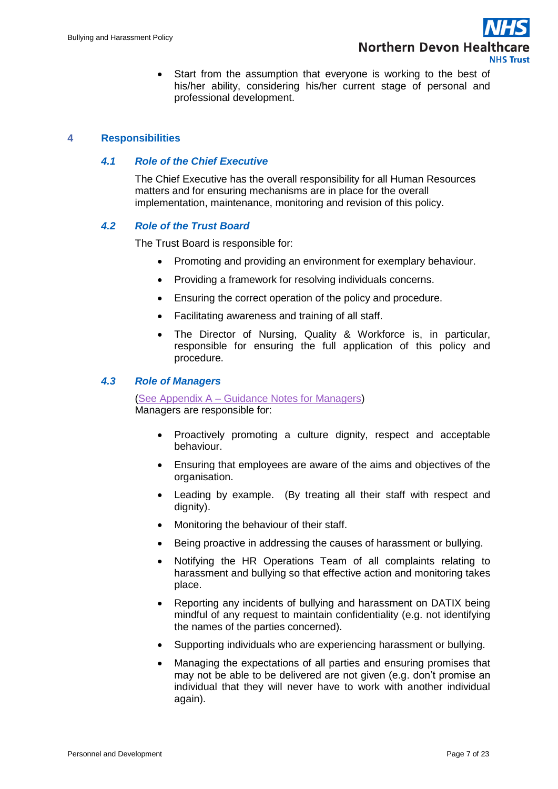Start from the assumption that everyone is working to the best of his/her ability, considering his/her current stage of personal and professional development.

## <span id="page-6-0"></span>**4 Responsibilities**

#### *4.1 Role of the Chief Executive*

The Chief Executive has the overall responsibility for all Human Resources matters and for ensuring mechanisms are in place for the overall implementation, maintenance, monitoring and revision of this policy.

#### *4.2 Role of the Trust Board*

The Trust Board is responsible for:

- Promoting and providing an environment for exemplary behaviour.
- Providing a framework for resolving individuals concerns.
- Ensuring the correct operation of the policy and procedure.
- Facilitating awareness and training of all staff.
- The Director of Nursing, Quality & Workforce is, in particular, responsible for ensuring the full application of this policy and procedure.

#### *4.3 Role of Managers*

(See Appendix A – [Guidance Notes for Managers\)](#page-11-0) Managers are responsible for:

- Proactively promoting a culture dignity, respect and acceptable behaviour.
- Ensuring that employees are aware of the aims and objectives of the organisation.
- Leading by example. (By treating all their staff with respect and dianity).
- Monitoring the behaviour of their staff.
- Being proactive in addressing the causes of harassment or bullying.
- Notifying the HR Operations Team of all complaints relating to harassment and bullying so that effective action and monitoring takes place.
- Reporting any incidents of bullying and harassment on DATIX being mindful of any request to maintain confidentiality (e.g. not identifying the names of the parties concerned).
- Supporting individuals who are experiencing harassment or bullying.
- Managing the expectations of all parties and ensuring promises that may not be able to be delivered are not given (e.g. don't promise an individual that they will never have to work with another individual again).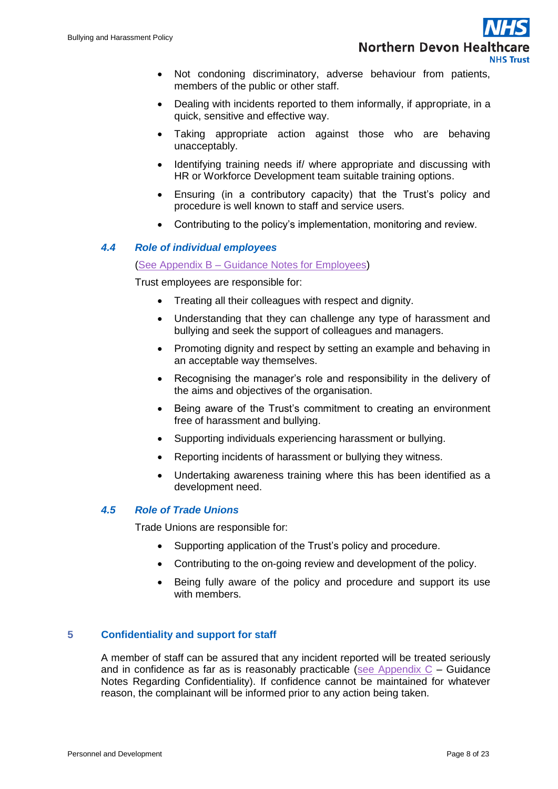- Not condoning discriminatory, adverse behaviour from patients, members of the public or other staff.
- Dealing with incidents reported to them informally, if appropriate, in a quick, sensitive and effective way.
- Taking appropriate action against those who are behaving unacceptably.
- Identifying training needs if/ where appropriate and discussing with HR or Workforce Development team suitable training options.
- Ensuring (in a contributory capacity) that the Trust's policy and procedure is well known to staff and service users.
- Contributing to the policy's implementation, monitoring and review.

## *4.4 Role of individual employees*

#### (See Appendix B – [Guidance Notes for Employees\)](#page-13-0)

Trust employees are responsible for:

- Treating all their colleagues with respect and dignity.
- Understanding that they can challenge any type of harassment and bullying and seek the support of colleagues and managers.
- Promoting dignity and respect by setting an example and behaving in an acceptable way themselves.
- Recognising the manager's role and responsibility in the delivery of the aims and objectives of the organisation.
- Being aware of the Trust's commitment to creating an environment free of harassment and bullying.
- Supporting individuals experiencing harassment or bullying.
- Reporting incidents of harassment or bullying they witness.
- Undertaking awareness training where this has been identified as a development need.

## *4.5 Role of Trade Unions*

Trade Unions are responsible for:

- Supporting application of the Trust's policy and procedure.
- Contributing to the on-going review and development of the policy.
- Being fully aware of the policy and procedure and support its use with members.

## <span id="page-7-0"></span>**5 Confidentiality and support for staff**

A member of staff can be assured that any incident reported will be treated seriously and in confidence as far as is reasonably practicable (see Appendix  $C -$  Guidance Notes Regarding Confidentiality). If confidence cannot be maintained for whatever reason, the complainant will be informed prior to any action being taken.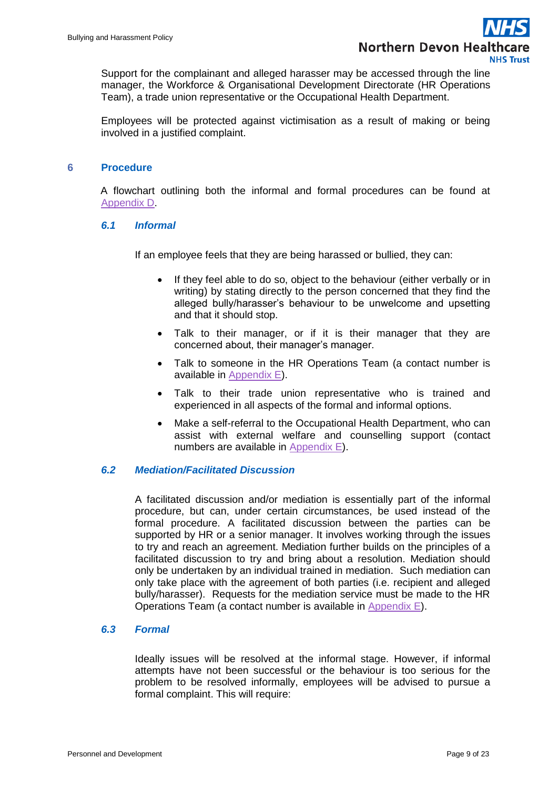Support for the complainant and alleged harasser may be accessed through the line manager, the Workforce & Organisational Development Directorate (HR Operations Team), a trade union representative or the Occupational Health Department.

Employees will be protected against victimisation as a result of making or being involved in a justified complaint.

#### <span id="page-8-0"></span>**6 Procedure**

A flowchart outlining both the informal and formal procedures can be found at [Appendix D.](#page-17-1)

#### *6.1 Informal*

If an employee feels that they are being harassed or bullied, they can:

- If they feel able to do so, object to the behaviour (either verbally or in writing) by stating directly to the person concerned that they find the alleged bully/harasser's behaviour to be unwelcome and upsetting and that it should stop.
- Talk to their manager, or if it is their manager that they are concerned about, their manager's manager.
- Talk to someone in the HR Operations Team (a contact number is available in [Appendix E\)](#page-18-1).
- Talk to their trade union representative who is trained and experienced in all aspects of the formal and informal options.
- Make a self-referral to the Occupational Health Department, who can assist with external welfare and counselling support (contact numbers are available in [Appendix E\)](#page-18-1).

## *6.2 Mediation/Facilitated Discussion*

A facilitated discussion and/or mediation is essentially part of the informal procedure, but can, under certain circumstances, be used instead of the formal procedure. A facilitated discussion between the parties can be supported by HR or a senior manager. It involves working through the issues to try and reach an agreement. Mediation further builds on the principles of a facilitated discussion to try and bring about a resolution. Mediation should only be undertaken by an individual trained in mediation. Such mediation can only take place with the agreement of both parties (i.e. recipient and alleged bully/harasser). Requests for the mediation service must be made to the HR Operations Team (a contact number is available in [Appendix E\)](#page-18-1).

#### *6.3 Formal*

Ideally issues will be resolved at the informal stage. However, if informal attempts have not been successful or the behaviour is too serious for the problem to be resolved informally, employees will be advised to pursue a formal complaint. This will require: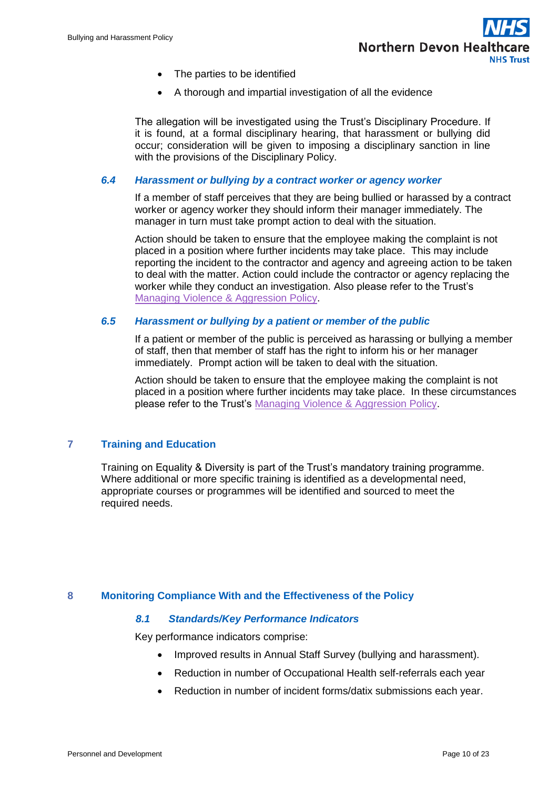- The parties to be identified
- A thorough and impartial investigation of all the evidence

The allegation will be investigated using the Trust's Disciplinary Procedure. If it is found, at a formal disciplinary hearing, that harassment or bullying did occur; consideration will be given to imposing a disciplinary sanction in line with the provisions of the Disciplinary Policy.

#### *6.4 Harassment or bullying by a contract worker or agency worker*

If a member of staff perceives that they are being bullied or harassed by a contract worker or agency worker they should inform their manager immediately. The manager in turn must take prompt action to deal with the situation.

Action should be taken to ensure that the employee making the complaint is not placed in a position where further incidents may take place. This may include reporting the incident to the contractor and agency and agreeing action to be taken to deal with the matter. Action could include the contractor or agency replacing the worker while they conduct an investigation. Also please refer to the Trust's [Managing Violence & Aggression Policy.](http://ndht.ndevon.swest.nhs.uk/policies/?p=1113)

#### *6.5 Harassment or bullying by a patient or member of the public*

If a patient or member of the public is perceived as harassing or bullying a member of staff, then that member of staff has the right to inform his or her manager immediately. Prompt action will be taken to deal with the situation.

Action should be taken to ensure that the employee making the complaint is not placed in a position where further incidents may take place. In these circumstances please refer to the Trust's [Managing Violence & Aggression Policy.](http://ndht.ndevon.swest.nhs.uk/policies/?p=1113)

## <span id="page-9-0"></span>**7 Training and Education**

Training on Equality & Diversity is part of the Trust's mandatory training programme. Where additional or more specific training is identified as a developmental need, appropriate courses or programmes will be identified and sourced to meet the required needs.

## <span id="page-9-1"></span>**8 Monitoring Compliance With and the Effectiveness of the Policy**

#### *8.1 Standards/Key Performance Indicators*

Key performance indicators comprise:

- Improved results in Annual Staff Survey (bullying and harassment).
- Reduction in number of Occupational Health self-referrals each year
- Reduction in number of incident forms/datix submissions each year.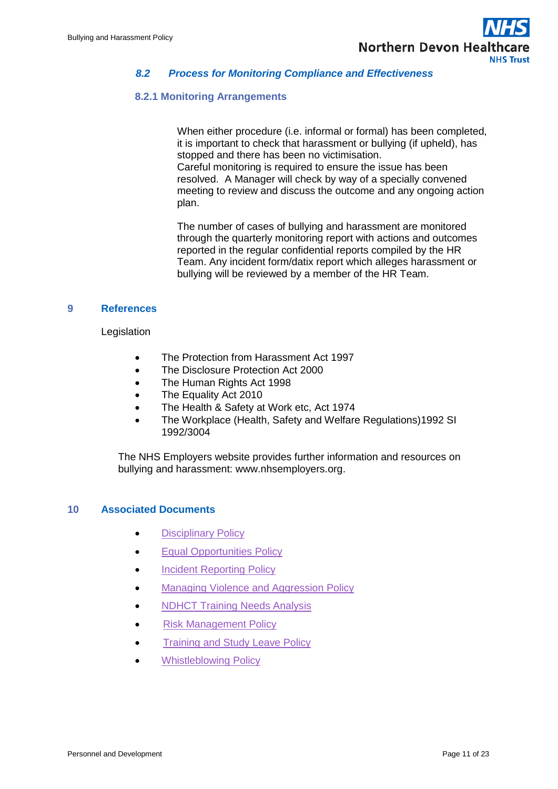## *8.2 Process for Monitoring Compliance and Effectiveness*

#### **8.2.1 Monitoring Arrangements**

When either procedure (i.e. informal or formal) has been completed, it is important to check that harassment or bullying (if upheld), has stopped and there has been no victimisation. Careful monitoring is required to ensure the issue has been resolved. A Manager will check by way of a specially convened meeting to review and discuss the outcome and any ongoing action plan.

The number of cases of bullying and harassment are monitored through the quarterly monitoring report with actions and outcomes reported in the regular confidential reports compiled by the HR Team. Any incident form/datix report which alleges harassment or bullying will be reviewed by a member of the HR Team.

#### <span id="page-10-0"></span>**9 References**

#### Legislation

- The Protection from Harassment Act 1997
- The Disclosure Protection Act 2000
- The Human Rights Act 1998
- The Equality Act 2010
- The Health & Safety at Work etc, Act 1974
- The Workplace (Health, Safety and Welfare Regulations)1992 SI 1992/3004

The NHS Employers website provides further information and resources on bullying and harassment: [www.nhsemployers.org.](http://www.nhsemployers.org/)

## <span id="page-10-1"></span>**10 Associated Documents**

- [Disciplinary Policy](http://ndht.ndevon.swest.nhs.uk/policies/?p=1964)
- **•** Equal Opportunities Policy
- Incident Reporting Policy
- [Managing Violence and Aggression Policy](http://ndht.ndevon.swest.nhs.uk/policies/?p=1113)
- [NDHCT Training Needs Analysis](http://ndht.ndevon.swest.nhs.uk/?page_id=5877)
- [Risk Management Policy](http://ndht.ndevon.swest.nhs.uk/policies/?p=346)
- **•** [Training and Study Leave Policy](http://ndht.ndevon.swest.nhs.uk/policies/?p=2106)
- [Whistleblowing Policy](http://ndht.ndevon.swest.nhs.uk/policies/?p=2109)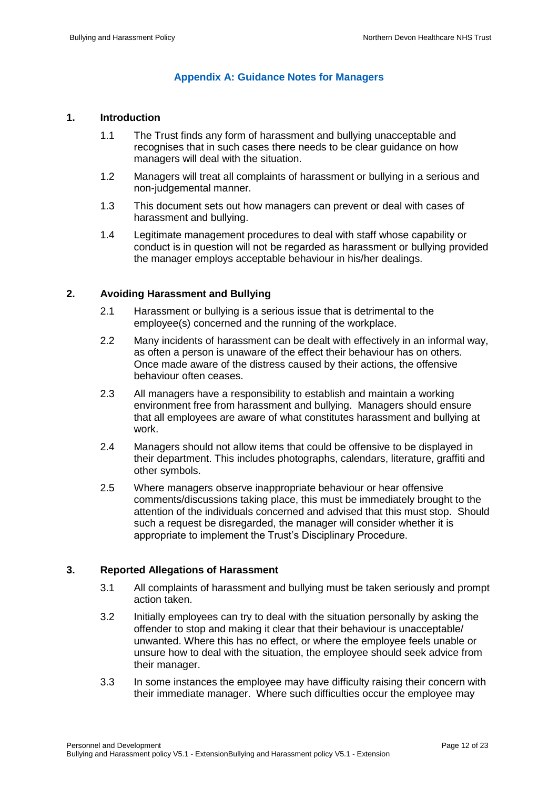## **Appendix A: Guidance Notes for Managers**

#### <span id="page-11-0"></span>**1. Introduction**

- 1.1 The Trust finds any form of harassment and bullying unacceptable and recognises that in such cases there needs to be clear guidance on how managers will deal with the situation.
- 1.2 Managers will treat all complaints of harassment or bullying in a serious and non-judgemental manner.
- 1.3 This document sets out how managers can prevent or deal with cases of harassment and bullying.
- 1.4 Legitimate management procedures to deal with staff whose capability or conduct is in question will not be regarded as harassment or bullying provided the manager employs acceptable behaviour in his/her dealings.

#### **2. Avoiding Harassment and Bullying**

- 2.1 Harassment or bullying is a serious issue that is detrimental to the employee(s) concerned and the running of the workplace.
- 2.2 Many incidents of harassment can be dealt with effectively in an informal way, as often a person is unaware of the effect their behaviour has on others. Once made aware of the distress caused by their actions, the offensive behaviour often ceases.
- 2.3 All managers have a responsibility to establish and maintain a working environment free from harassment and bullying. Managers should ensure that all employees are aware of what constitutes harassment and bullying at work.
- 2.4 Managers should not allow items that could be offensive to be displayed in their department. This includes photographs, calendars, literature, graffiti and other symbols.
- 2.5 Where managers observe inappropriate behaviour or hear offensive comments/discussions taking place, this must be immediately brought to the attention of the individuals concerned and advised that this must stop. Should such a request be disregarded, the manager will consider whether it is appropriate to implement the Trust's Disciplinary Procedure.

## **3. Reported Allegations of Harassment**

- 3.1 All complaints of harassment and bullying must be taken seriously and prompt action taken.
- 3.2 Initially employees can try to deal with the situation personally by asking the offender to stop and making it clear that their behaviour is unacceptable/ unwanted. Where this has no effect, or where the employee feels unable or unsure how to deal with the situation, the employee should seek advice from their manager.
- 3.3 In some instances the employee may have difficulty raising their concern with their immediate manager. Where such difficulties occur the employee may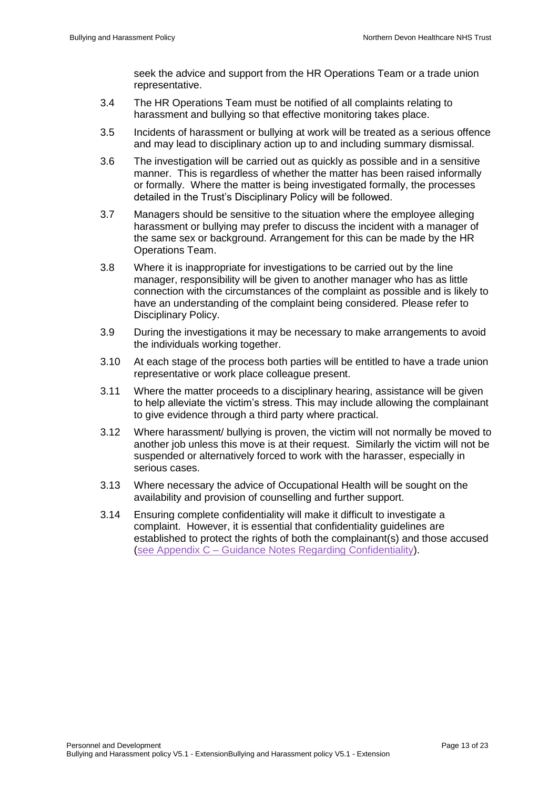seek the advice and support from the HR Operations Team or a trade union representative.

- 3.4 The HR Operations Team must be notified of all complaints relating to harassment and bullying so that effective monitoring takes place.
- 3.5 Incidents of harassment or bullying at work will be treated as a serious offence and may lead to disciplinary action up to and including summary dismissal.
- 3.6 The investigation will be carried out as quickly as possible and in a sensitive manner. This is regardless of whether the matter has been raised informally or formally. Where the matter is being investigated formally, the processes detailed in the Trust's Disciplinary Policy will be followed.
- 3.7 Managers should be sensitive to the situation where the employee alleging harassment or bullying may prefer to discuss the incident with a manager of the same sex or background. Arrangement for this can be made by the HR Operations Team.
- 3.8 Where it is inappropriate for investigations to be carried out by the line manager, responsibility will be given to another manager who has as little connection with the circumstances of the complaint as possible and is likely to have an understanding of the complaint being considered. Please refer to Disciplinary Policy.
- 3.9 During the investigations it may be necessary to make arrangements to avoid the individuals working together.
- 3.10 At each stage of the process both parties will be entitled to have a trade union representative or work place colleague present.
- 3.11 Where the matter proceeds to a disciplinary hearing, assistance will be given to help alleviate the victim's stress. This may include allowing the complainant to give evidence through a third party where practical.
- 3.12 Where harassment/ bullying is proven, the victim will not normally be moved to another job unless this move is at their request. Similarly the victim will not be suspended or alternatively forced to work with the harasser, especially in serious cases.
- 3.13 Where necessary the advice of Occupational Health will be sought on the availability and provision of counselling and further support.
- 3.14 Ensuring complete confidentiality will make it difficult to investigate a complaint. However, it is essential that confidentiality guidelines are established to protect the rights of both the complainant(s) and those accused (see Appendix C – [Guidance Notes Regarding Confidentiality\)](#page-16-0).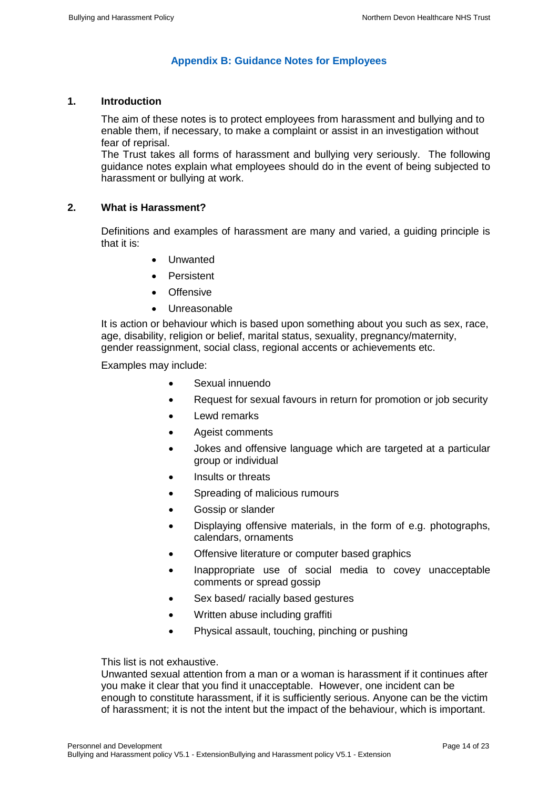## **Appendix B: Guidance Notes for Employees**

## <span id="page-13-0"></span>**1. Introduction**

The aim of these notes is to protect employees from harassment and bullying and to enable them, if necessary, to make a complaint or assist in an investigation without fear of reprisal.

The Trust takes all forms of harassment and bullying very seriously. The following guidance notes explain what employees should do in the event of being subjected to harassment or bullying at work.

#### **2. What is Harassment?**

Definitions and examples of harassment are many and varied, a guiding principle is that it is:

- Unwanted
- Persistent
- **•** Offensive
- Unreasonable

It is action or behaviour which is based upon something about you such as sex, race, age, disability, religion or belief, marital status, sexuality, pregnancy/maternity, gender reassignment, social class, regional accents or achievements etc.

Examples may include:

- Sexual innuendo
- Request for sexual favours in return for promotion or job security
- Lewd remarks
- Ageist comments
- Jokes and offensive language which are targeted at a particular group or individual
- Insults or threats
- Spreading of malicious rumours
- Gossip or slander
- Displaying offensive materials, in the form of e.g. photographs, calendars, ornaments
- Offensive literature or computer based graphics
- Inappropriate use of social media to covey unacceptable comments or spread gossip
- Sex based/ racially based gestures
- Written abuse including graffiti
- Physical assault, touching, pinching or pushing

This list is not exhaustive.

Unwanted sexual attention from a man or a woman is harassment if it continues after you make it clear that you find it unacceptable. However, one incident can be enough to constitute harassment, if it is sufficiently serious. Anyone can be the victim of harassment; it is not the intent but the impact of the behaviour, which is important.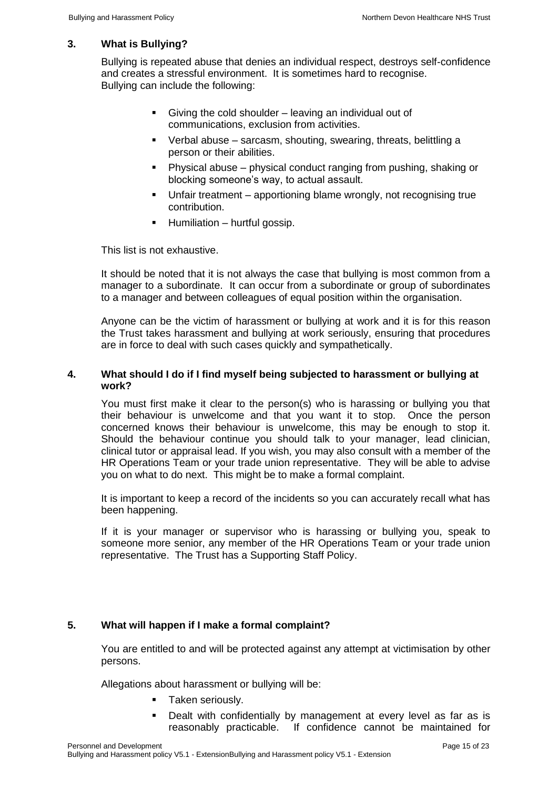## **3. What is Bullying?**

Bullying is repeated abuse that denies an individual respect, destroys self-confidence and creates a stressful environment. It is sometimes hard to recognise. Bullying can include the following:

- Giving the cold shoulder leaving an individual out of communications, exclusion from activities.
- Verbal abuse sarcasm, shouting, swearing, threats, belittling a person or their abilities.
- Physical abuse physical conduct ranging from pushing, shaking or blocking someone's way, to actual assault.
- Unfair treatment apportioning blame wrongly, not recognising true contribution.
- $\blacksquare$  Humiliation hurtful gossip.

This list is not exhaustive.

It should be noted that it is not always the case that bullying is most common from a manager to a subordinate. It can occur from a subordinate or group of subordinates to a manager and between colleagues of equal position within the organisation.

Anyone can be the victim of harassment or bullying at work and it is for this reason the Trust takes harassment and bullying at work seriously, ensuring that procedures are in force to deal with such cases quickly and sympathetically.

#### **4. What should I do if I find myself being subjected to harassment or bullying at work?**

You must first make it clear to the person(s) who is harassing or bullying you that their behaviour is unwelcome and that you want it to stop. Once the person concerned knows their behaviour is unwelcome, this may be enough to stop it. Should the behaviour continue you should talk to your manager, lead clinician, clinical tutor or appraisal lead. If you wish, you may also consult with a member of the HR Operations Team or your trade union representative. They will be able to advise you on what to do next. This might be to make a formal complaint.

It is important to keep a record of the incidents so you can accurately recall what has been happening.

If it is your manager or supervisor who is harassing or bullying you, speak to someone more senior, any member of the HR Operations Team or your trade union representative. The Trust has a Supporting Staff Policy.

## **5. What will happen if I make a formal complaint?**

You are entitled to and will be protected against any attempt at victimisation by other persons.

Allegations about harassment or bullying will be:

- **Taken seriously.**
- Dealt with confidentially by management at every level as far as is reasonably practicable. If confidence cannot be maintained for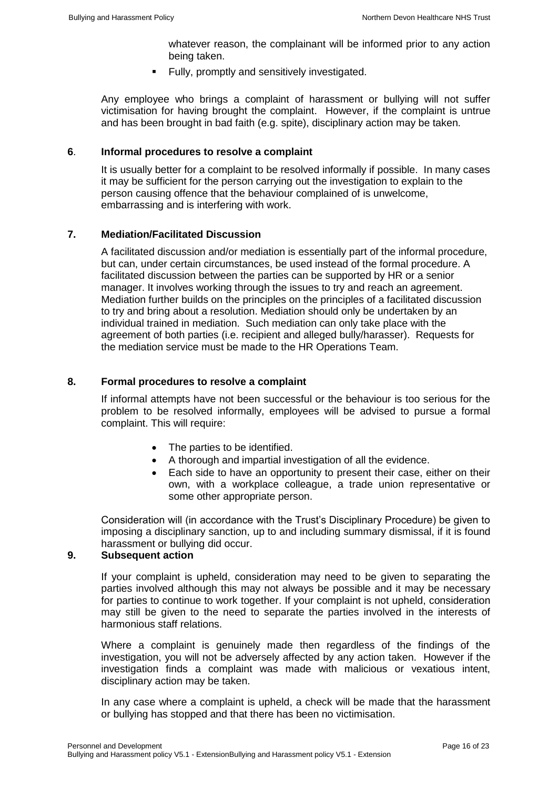whatever reason, the complainant will be informed prior to any action being taken.

Fully, promptly and sensitively investigated.

Any employee who brings a complaint of harassment or bullying will not suffer victimisation for having brought the complaint. However, if the complaint is untrue and has been brought in bad faith (e.g. spite), disciplinary action may be taken.

## **6**. **Informal procedures to resolve a complaint**

It is usually better for a complaint to be resolved informally if possible. In many cases it may be sufficient for the person carrying out the investigation to explain to the person causing offence that the behaviour complained of is unwelcome, embarrassing and is interfering with work.

## **7. Mediation/Facilitated Discussion**

A facilitated discussion and/or mediation is essentially part of the informal procedure, but can, under certain circumstances, be used instead of the formal procedure. A facilitated discussion between the parties can be supported by HR or a senior manager. It involves working through the issues to try and reach an agreement. Mediation further builds on the principles on the principles of a facilitated discussion to try and bring about a resolution. Mediation should only be undertaken by an individual trained in mediation. Such mediation can only take place with the agreement of both parties (i.e. recipient and alleged bully/harasser). Requests for the mediation service must be made to the HR Operations Team.

## **8. Formal procedures to resolve a complaint**

If informal attempts have not been successful or the behaviour is too serious for the problem to be resolved informally, employees will be advised to pursue a formal complaint. This will require:

- The parties to be identified.
- A thorough and impartial investigation of all the evidence.
- Each side to have an opportunity to present their case, either on their own, with a workplace colleague, a trade union representative or some other appropriate person.

Consideration will (in accordance with the Trust's Disciplinary Procedure) be given to imposing a disciplinary sanction, up to and including summary dismissal, if it is found harassment or bullying did occur.

## **9. Subsequent action**

If your complaint is upheld, consideration may need to be given to separating the parties involved although this may not always be possible and it may be necessary for parties to continue to work together. If your complaint is not upheld, consideration may still be given to the need to separate the parties involved in the interests of harmonious staff relations.

Where a complaint is genuinely made then regardless of the findings of the investigation, you will not be adversely affected by any action taken. However if the investigation finds a complaint was made with malicious or vexatious intent, disciplinary action may be taken.

In any case where a complaint is upheld, a check will be made that the harassment or bullying has stopped and that there has been no victimisation.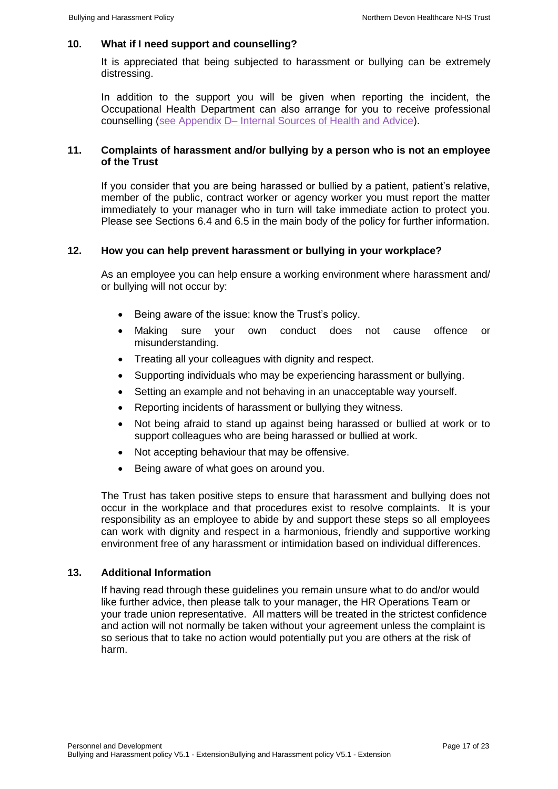#### **10. What if I need support and counselling?**

It is appreciated that being subjected to harassment or bullying can be extremely distressing.

In addition to the support you will be given when reporting the incident, the Occupational Health Department can also arrange for you to receive professional counselling (see Appendix D– [Internal Sources of Health and Advice\)](#page-18-1).

#### **11. Complaints of harassment and/or bullying by a person who is not an employee of the Trust**

If you consider that you are being harassed or bullied by a patient, patient's relative, member of the public, contract worker or agency worker you must report the matter immediately to your manager who in turn will take immediate action to protect you. Please see Sections 6.4 and 6.5 in the main body of the policy for further information.

#### **12. How you can help prevent harassment or bullying in your workplace?**

As an employee you can help ensure a working environment where harassment and/ or bullying will not occur by:

- Being aware of the issue: know the Trust's policy.
- Making sure your own conduct does not cause offence or misunderstanding.
- Treating all your colleagues with dignity and respect.
- Supporting individuals who may be experiencing harassment or bullying.
- Setting an example and not behaving in an unacceptable way yourself.
- Reporting incidents of harassment or bullying they witness.
- Not being afraid to stand up against being harassed or bullied at work or to support colleagues who are being harassed or bullied at work.
- Not accepting behaviour that may be offensive.
- Being aware of what goes on around you.

The Trust has taken positive steps to ensure that harassment and bullying does not occur in the workplace and that procedures exist to resolve complaints. It is your responsibility as an employee to abide by and support these steps so all employees can work with dignity and respect in a harmonious, friendly and supportive working environment free of any harassment or intimidation based on individual differences.

#### **13. Additional Information**

<span id="page-16-0"></span>If having read through these guidelines you remain unsure what to do and/or would like further advice, then please talk to your manager, the HR Operations Team or your trade union representative. All matters will be treated in the strictest confidence and action will not normally be taken without your agreement unless the complaint is so serious that to take no action would potentially put you are others at the risk of harm.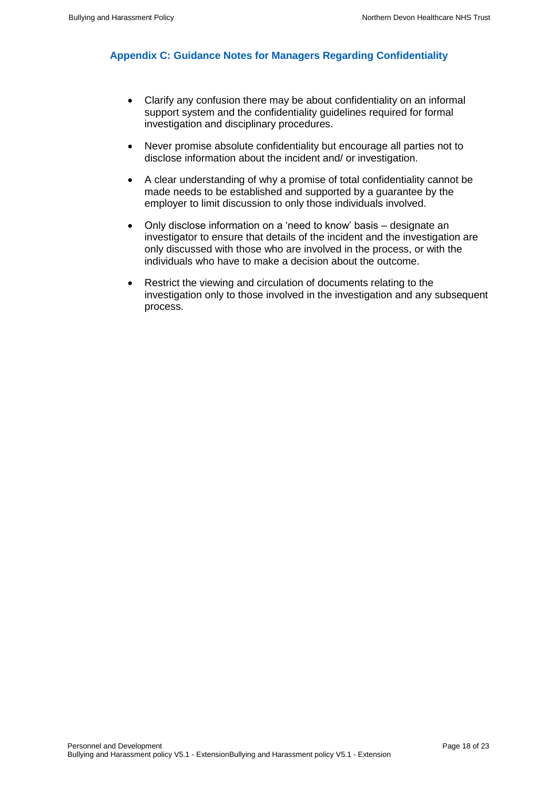## <span id="page-17-0"></span>**Appendix C: Guidance Notes for Managers Regarding Confidentiality**

- Clarify any confusion there may be about confidentiality on an informal support system and the confidentiality guidelines required for formal investigation and disciplinary procedures.
- Never promise absolute confidentiality but encourage all parties not to disclose information about the incident and/ or investigation.
- A clear understanding of why a promise of total confidentiality cannot be made needs to be established and supported by a guarantee by the employer to limit discussion to only those individuals involved.
- Only disclose information on a 'need to know' basis designate an investigator to ensure that details of the incident and the investigation are only discussed with those who are involved in the process, or with the individuals who have to make a decision about the outcome.
- <span id="page-17-1"></span>• Restrict the viewing and circulation of documents relating to the investigation only to those involved in the investigation and any subsequent process.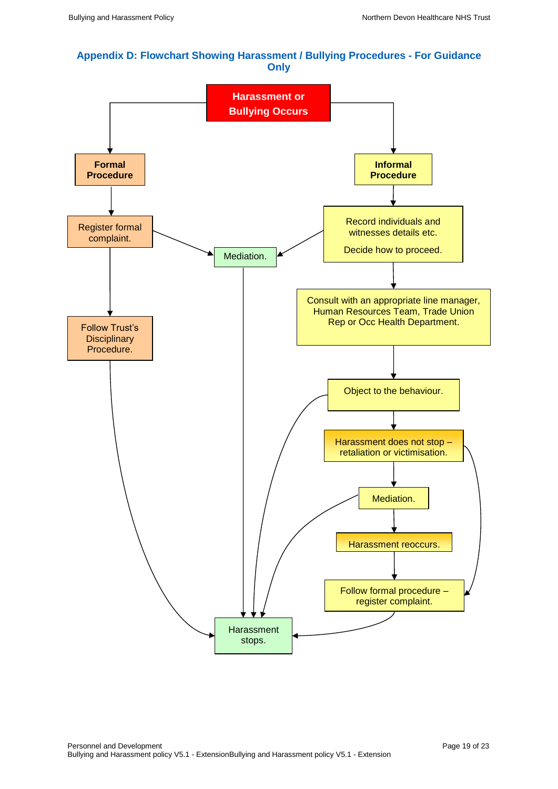#### <span id="page-18-0"></span>**Appendix D: Flowchart Showing Harassment / Bullying Procedures - For Guidance Only**

<span id="page-18-1"></span>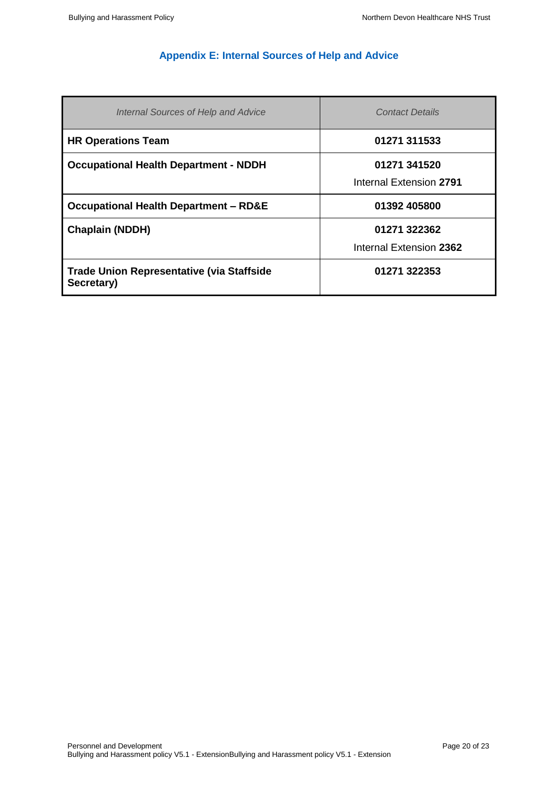## **Appendix E: Internal Sources of Help and Advice**

<span id="page-19-0"></span>

| Internal Sources of Help and Advice                            | <b>Contact Details</b>                  |
|----------------------------------------------------------------|-----------------------------------------|
| <b>HR Operations Team</b>                                      | 01271 311533                            |
| <b>Occupational Health Department - NDDH</b>                   | 01271 341520<br>Internal Extension 2791 |
| <b>Occupational Health Department - RD&amp;E</b>               | 01392 405800                            |
| <b>Chaplain (NDDH)</b>                                         | 01271 322362<br>Internal Extension 2362 |
| <b>Trade Union Representative (via Staffside</b><br>Secretary) | 01271 322353                            |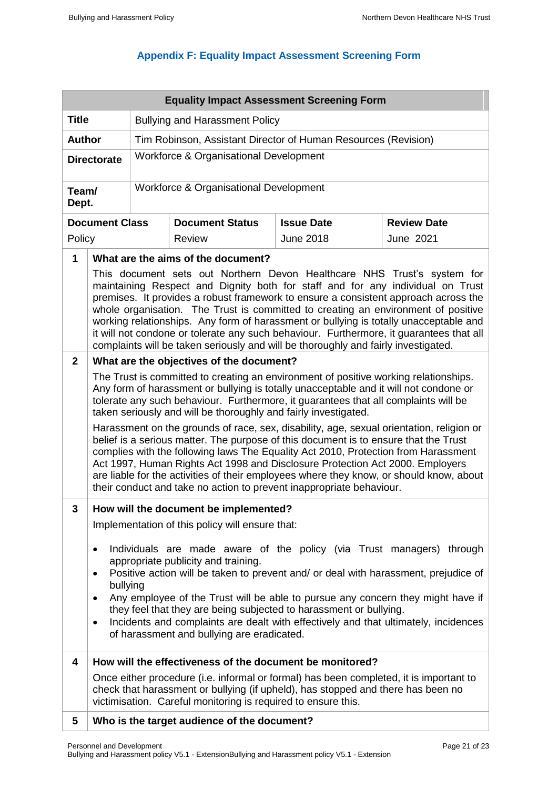## **Appendix F: Equality Impact Assessment Screening Form**

<span id="page-20-0"></span>

|                         | <b>Equality Impact Assessment Screening Form</b>                                                                                                                                                                                                                                                                                                                                                                                                                                                                                                                                                                                                                                                                                                                                                                                                                      |                                                                |                                                                                                                                                                                                                                             |                   |                    |  |  |
|-------------------------|-----------------------------------------------------------------------------------------------------------------------------------------------------------------------------------------------------------------------------------------------------------------------------------------------------------------------------------------------------------------------------------------------------------------------------------------------------------------------------------------------------------------------------------------------------------------------------------------------------------------------------------------------------------------------------------------------------------------------------------------------------------------------------------------------------------------------------------------------------------------------|----------------------------------------------------------------|---------------------------------------------------------------------------------------------------------------------------------------------------------------------------------------------------------------------------------------------|-------------------|--------------------|--|--|
| <b>Title</b>            |                                                                                                                                                                                                                                                                                                                                                                                                                                                                                                                                                                                                                                                                                                                                                                                                                                                                       | <b>Bullying and Harassment Policy</b>                          |                                                                                                                                                                                                                                             |                   |                    |  |  |
| <b>Author</b>           |                                                                                                                                                                                                                                                                                                                                                                                                                                                                                                                                                                                                                                                                                                                                                                                                                                                                       | Tim Robinson, Assistant Director of Human Resources (Revision) |                                                                                                                                                                                                                                             |                   |                    |  |  |
| <b>Directorate</b>      |                                                                                                                                                                                                                                                                                                                                                                                                                                                                                                                                                                                                                                                                                                                                                                                                                                                                       |                                                                | Workforce & Organisational Development                                                                                                                                                                                                      |                   |                    |  |  |
|                         |                                                                                                                                                                                                                                                                                                                                                                                                                                                                                                                                                                                                                                                                                                                                                                                                                                                                       |                                                                |                                                                                                                                                                                                                                             |                   |                    |  |  |
| Team/<br>Dept.          |                                                                                                                                                                                                                                                                                                                                                                                                                                                                                                                                                                                                                                                                                                                                                                                                                                                                       |                                                                | Workforce & Organisational Development                                                                                                                                                                                                      |                   |                    |  |  |
|                         | <b>Document Class</b>                                                                                                                                                                                                                                                                                                                                                                                                                                                                                                                                                                                                                                                                                                                                                                                                                                                 |                                                                | <b>Document Status</b>                                                                                                                                                                                                                      | <b>Issue Date</b> | <b>Review Date</b> |  |  |
| Policy                  |                                                                                                                                                                                                                                                                                                                                                                                                                                                                                                                                                                                                                                                                                                                                                                                                                                                                       |                                                                | <b>Review</b>                                                                                                                                                                                                                               | <b>June 2018</b>  | <b>June 2021</b>   |  |  |
| $\mathbf{1}$            |                                                                                                                                                                                                                                                                                                                                                                                                                                                                                                                                                                                                                                                                                                                                                                                                                                                                       |                                                                | What are the aims of the document?                                                                                                                                                                                                          |                   |                    |  |  |
|                         | This document sets out Northern Devon Healthcare NHS Trust's system for<br>maintaining Respect and Dignity both for staff and for any individual on Trust<br>premises. It provides a robust framework to ensure a consistent approach across the<br>whole organisation. The Trust is committed to creating an environment of positive<br>working relationships. Any form of harassment or bullying is totally unacceptable and<br>it will not condone or tolerate any such behaviour. Furthermore, it guarantees that all<br>complaints will be taken seriously and will be thoroughly and fairly investigated.                                                                                                                                                                                                                                                       |                                                                |                                                                                                                                                                                                                                             |                   |                    |  |  |
| $\mathbf{2}$            |                                                                                                                                                                                                                                                                                                                                                                                                                                                                                                                                                                                                                                                                                                                                                                                                                                                                       |                                                                | What are the objectives of the document?                                                                                                                                                                                                    |                   |                    |  |  |
|                         | The Trust is committed to creating an environment of positive working relationships.<br>Any form of harassment or bullying is totally unacceptable and it will not condone or<br>tolerate any such behaviour. Furthermore, it guarantees that all complaints will be<br>taken seriously and will be thoroughly and fairly investigated.<br>Harassment on the grounds of race, sex, disability, age, sexual orientation, religion or<br>belief is a serious matter. The purpose of this document is to ensure that the Trust<br>complies with the following laws The Equality Act 2010, Protection from Harassment<br>Act 1997, Human Rights Act 1998 and Disclosure Protection Act 2000. Employers<br>are liable for the activities of their employees where they know, or should know, about<br>their conduct and take no action to prevent inappropriate behaviour. |                                                                |                                                                                                                                                                                                                                             |                   |                    |  |  |
| 3                       | How will the document be implemented?                                                                                                                                                                                                                                                                                                                                                                                                                                                                                                                                                                                                                                                                                                                                                                                                                                 |                                                                |                                                                                                                                                                                                                                             |                   |                    |  |  |
|                         |                                                                                                                                                                                                                                                                                                                                                                                                                                                                                                                                                                                                                                                                                                                                                                                                                                                                       |                                                                | Implementation of this policy will ensure that:                                                                                                                                                                                             |                   |                    |  |  |
|                         | Individuals are made aware of the policy (via Trust managers) through<br>$\bullet$<br>appropriate publicity and training.<br>Positive action will be taken to prevent and/ or deal with harassment, prejudice of<br>$\bullet$<br>bullying<br>Any employee of the Trust will be able to pursue any concern they might have if<br>$\bullet$<br>they feel that they are being subjected to harassment or bullying.<br>Incidents and complaints are dealt with effectively and that ultimately, incidences<br>$\bullet$<br>of harassment and bullying are eradicated.                                                                                                                                                                                                                                                                                                     |                                                                |                                                                                                                                                                                                                                             |                   |                    |  |  |
| $\overline{\mathbf{4}}$ |                                                                                                                                                                                                                                                                                                                                                                                                                                                                                                                                                                                                                                                                                                                                                                                                                                                                       |                                                                | How will the effectiveness of the document be monitored?                                                                                                                                                                                    |                   |                    |  |  |
|                         |                                                                                                                                                                                                                                                                                                                                                                                                                                                                                                                                                                                                                                                                                                                                                                                                                                                                       |                                                                | Once either procedure (i.e. informal or formal) has been completed, it is important to<br>check that harassment or bullying (if upheld), has stopped and there has been no<br>victimisation. Careful monitoring is required to ensure this. |                   |                    |  |  |
| 5                       |                                                                                                                                                                                                                                                                                                                                                                                                                                                                                                                                                                                                                                                                                                                                                                                                                                                                       |                                                                | Who is the target audience of the document?                                                                                                                                                                                                 |                   |                    |  |  |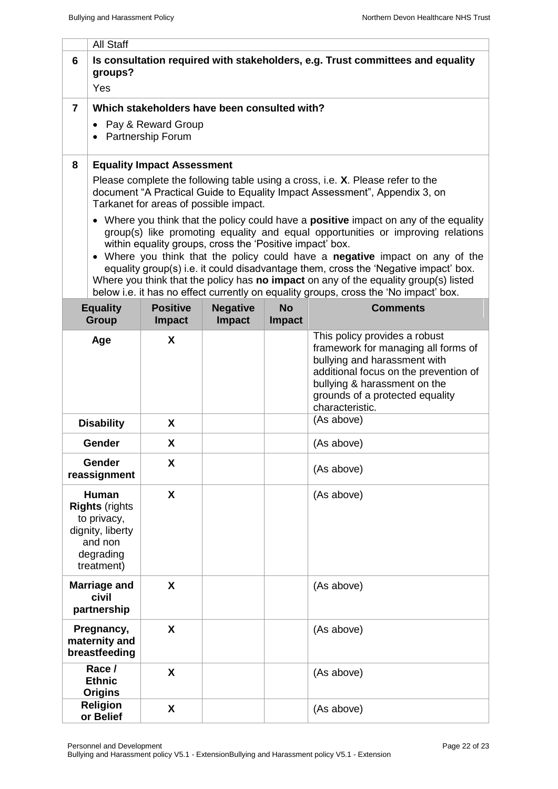|                        | <b>All Staff</b>                                                                                                                                                                                                                                                                                                                                                                                                                                                                                                                                                                                   |                                           |                                  |                            |                                                                                                                                                                                                                                     |  |
|------------------------|----------------------------------------------------------------------------------------------------------------------------------------------------------------------------------------------------------------------------------------------------------------------------------------------------------------------------------------------------------------------------------------------------------------------------------------------------------------------------------------------------------------------------------------------------------------------------------------------------|-------------------------------------------|----------------------------------|----------------------------|-------------------------------------------------------------------------------------------------------------------------------------------------------------------------------------------------------------------------------------|--|
| 6                      | Is consultation required with stakeholders, e.g. Trust committees and equality<br>groups?<br>Yes                                                                                                                                                                                                                                                                                                                                                                                                                                                                                                   |                                           |                                  |                            |                                                                                                                                                                                                                                     |  |
| $\overline{7}$         | Which stakeholders have been consulted with?                                                                                                                                                                                                                                                                                                                                                                                                                                                                                                                                                       |                                           |                                  |                            |                                                                                                                                                                                                                                     |  |
|                        |                                                                                                                                                                                                                                                                                                                                                                                                                                                                                                                                                                                                    | Pay & Reward Group<br>• Partnership Forum |                                  |                            |                                                                                                                                                                                                                                     |  |
| 8                      |                                                                                                                                                                                                                                                                                                                                                                                                                                                                                                                                                                                                    | <b>Equality Impact Assessment</b>         |                                  |                            |                                                                                                                                                                                                                                     |  |
|                        | Please complete the following table using a cross, i.e. X. Please refer to the<br>document "A Practical Guide to Equality Impact Assessment", Appendix 3, on<br>Tarkanet for areas of possible impact.                                                                                                                                                                                                                                                                                                                                                                                             |                                           |                                  |                            |                                                                                                                                                                                                                                     |  |
|                        | • Where you think that the policy could have a <b>positive</b> impact on any of the equality<br>group(s) like promoting equality and equal opportunities or improving relations<br>within equality groups, cross the 'Positive impact' box.<br>• Where you think that the policy could have a negative impact on any of the<br>equality group(s) i.e. it could disadvantage them, cross the 'Negative impact' box.<br>Where you think that the policy has no impact on any of the equality group(s) listed<br>below i.e. it has no effect currently on equality groups, cross the 'No impact' box. |                                           |                                  |                            |                                                                                                                                                                                                                                     |  |
|                        | <b>Equality</b><br><b>Group</b>                                                                                                                                                                                                                                                                                                                                                                                                                                                                                                                                                                    | <b>Positive</b><br><b>Impact</b>          | <b>Negative</b><br><b>Impact</b> | <b>No</b><br><b>Impact</b> | <b>Comments</b>                                                                                                                                                                                                                     |  |
|                        | Age                                                                                                                                                                                                                                                                                                                                                                                                                                                                                                                                                                                                | X                                         |                                  |                            | This policy provides a robust<br>framework for managing all forms of<br>bullying and harassment with<br>additional focus on the prevention of<br>bullying & harassment on the<br>grounds of a protected equality<br>characteristic. |  |
|                        | <b>Disability</b>                                                                                                                                                                                                                                                                                                                                                                                                                                                                                                                                                                                  | X                                         |                                  |                            | (As above)                                                                                                                                                                                                                          |  |
|                        | Gender                                                                                                                                                                                                                                                                                                                                                                                                                                                                                                                                                                                             | X                                         |                                  |                            | (As above)                                                                                                                                                                                                                          |  |
| Gender<br>reassignment |                                                                                                                                                                                                                                                                                                                                                                                                                                                                                                                                                                                                    | X                                         |                                  |                            | (As above)                                                                                                                                                                                                                          |  |
|                        | Human<br><b>Rights (rights)</b><br>to privacy,<br>dignity, liberty<br>and non<br>degrading<br>treatment)                                                                                                                                                                                                                                                                                                                                                                                                                                                                                           | X                                         |                                  |                            | (As above)                                                                                                                                                                                                                          |  |
|                        | <b>Marriage and</b><br>civil<br>partnership                                                                                                                                                                                                                                                                                                                                                                                                                                                                                                                                                        | X                                         |                                  |                            | (As above)                                                                                                                                                                                                                          |  |
|                        | Pregnancy,<br>maternity and<br>breastfeeding                                                                                                                                                                                                                                                                                                                                                                                                                                                                                                                                                       | X                                         |                                  |                            | (As above)                                                                                                                                                                                                                          |  |
|                        | Race /<br><b>Ethnic</b><br><b>Origins</b>                                                                                                                                                                                                                                                                                                                                                                                                                                                                                                                                                          | X                                         |                                  |                            | (As above)                                                                                                                                                                                                                          |  |
|                        | <b>Religion</b><br>or Belief                                                                                                                                                                                                                                                                                                                                                                                                                                                                                                                                                                       | X                                         |                                  |                            | (As above)                                                                                                                                                                                                                          |  |